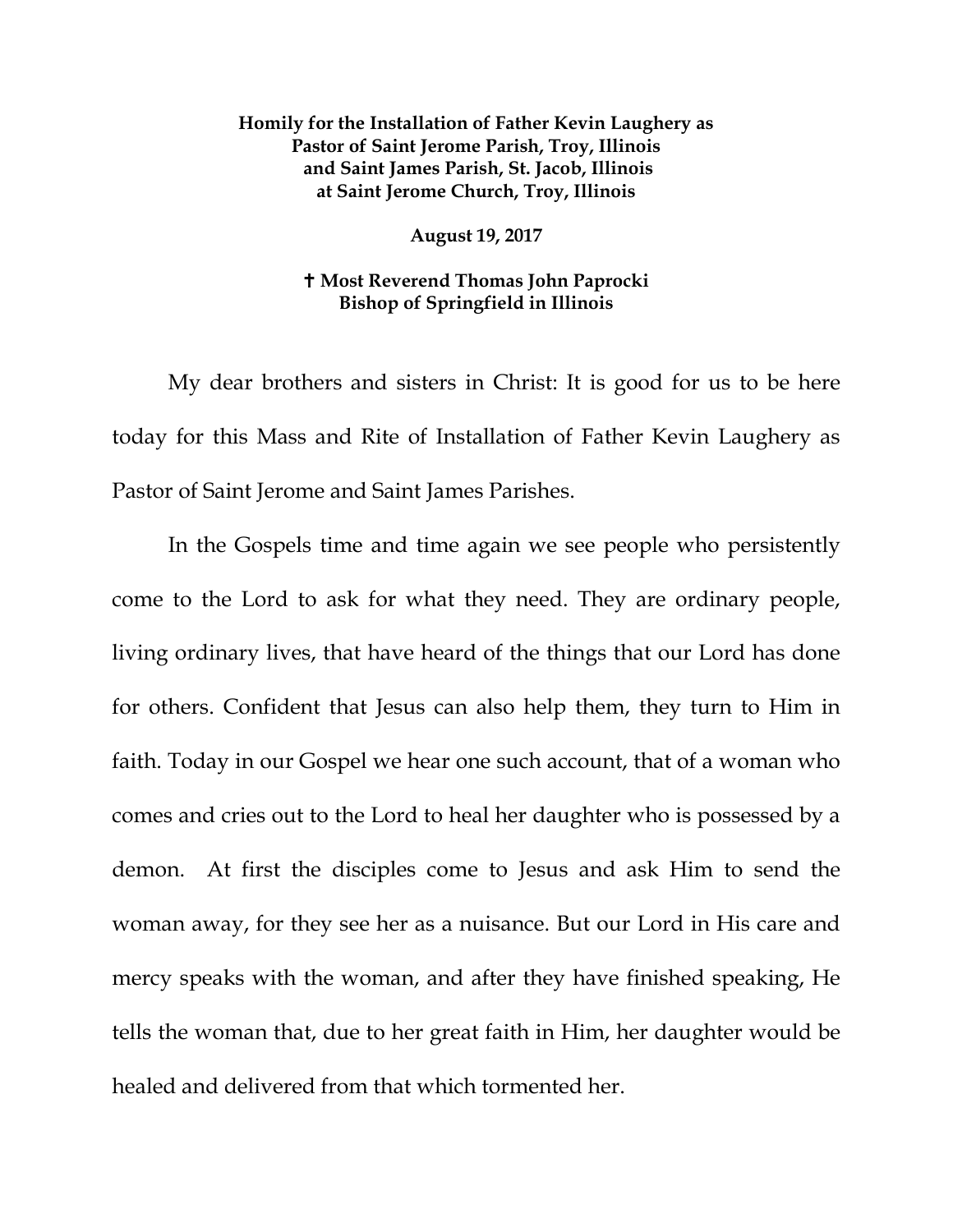## **Homily for the Installation of Father Kevin Laughery as Pastor of Saint Jerome Parish, Troy, Illinois and Saint James Parish, St. Jacob, Illinois at Saint Jerome Church, Troy, Illinois**

## **August 19, 2017**

## **Most Reverend Thomas John Paprocki Bishop of Springfield in Illinois**

My dear brothers and sisters in Christ: It is good for us to be here today for this Mass and Rite of Installation of Father Kevin Laughery as Pastor of Saint Jerome and Saint James Parishes.

In the Gospels time and time again we see people who persistently come to the Lord to ask for what they need. They are ordinary people, living ordinary lives, that have heard of the things that our Lord has done for others. Confident that Jesus can also help them, they turn to Him in faith. Today in our Gospel we hear one such account, that of a woman who comes and cries out to the Lord to heal her daughter who is possessed by a demon. At first the disciples come to Jesus and ask Him to send the woman away, for they see her as a nuisance. But our Lord in His care and mercy speaks with the woman, and after they have finished speaking, He tells the woman that, due to her great faith in Him, her daughter would be healed and delivered from that which tormented her.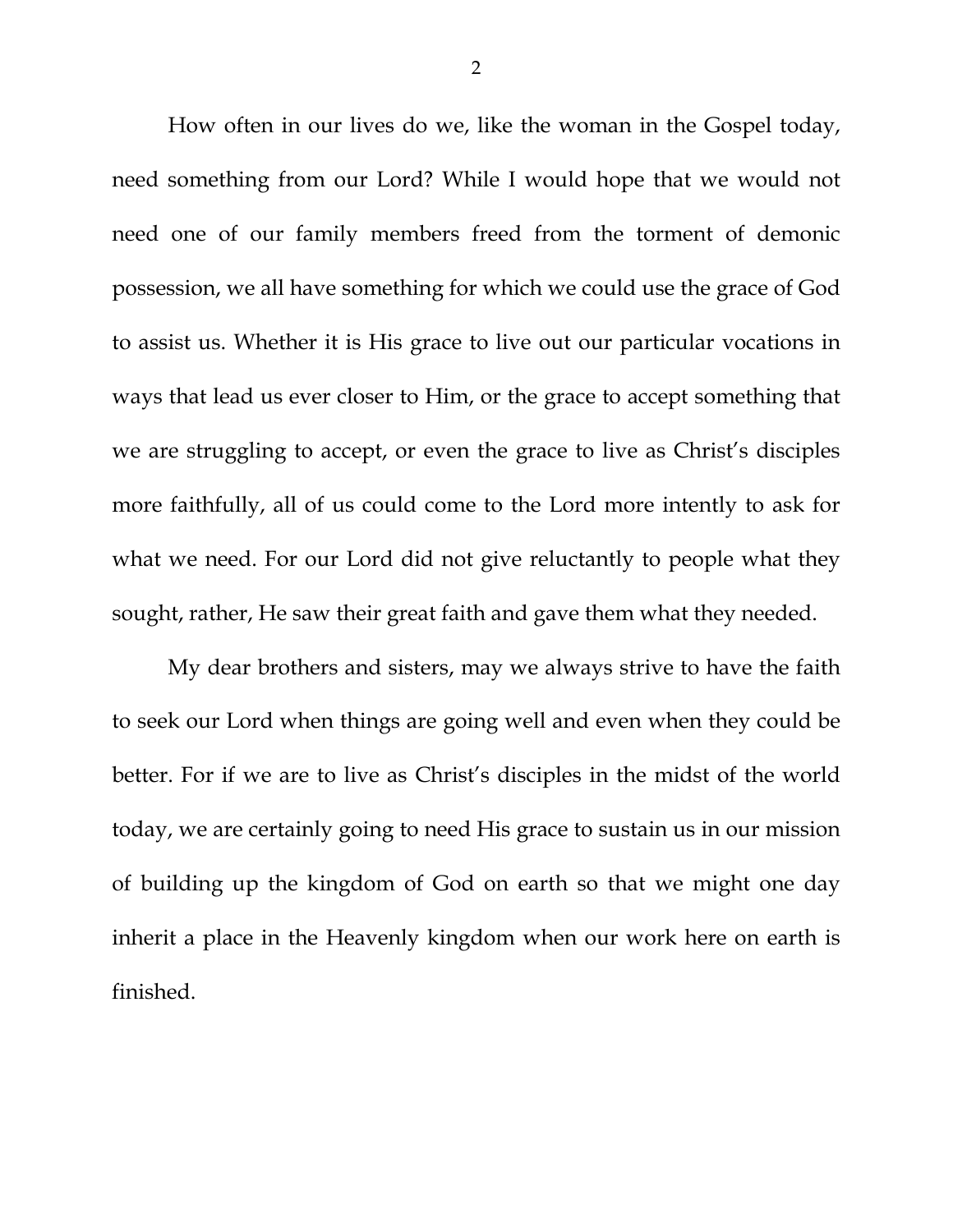How often in our lives do we, like the woman in the Gospel today, need something from our Lord? While I would hope that we would not need one of our family members freed from the torment of demonic possession, we all have something for which we could use the grace of God to assist us. Whether it is His grace to live out our particular vocations in ways that lead us ever closer to Him, or the grace to accept something that we are struggling to accept, or even the grace to live as Christ's disciples more faithfully, all of us could come to the Lord more intently to ask for what we need. For our Lord did not give reluctantly to people what they sought, rather, He saw their great faith and gave them what they needed.

My dear brothers and sisters, may we always strive to have the faith to seek our Lord when things are going well and even when they could be better. For if we are to live as Christ's disciples in the midst of the world today, we are certainly going to need His grace to sustain us in our mission of building up the kingdom of God on earth so that we might one day inherit a place in the Heavenly kingdom when our work here on earth is finished.

2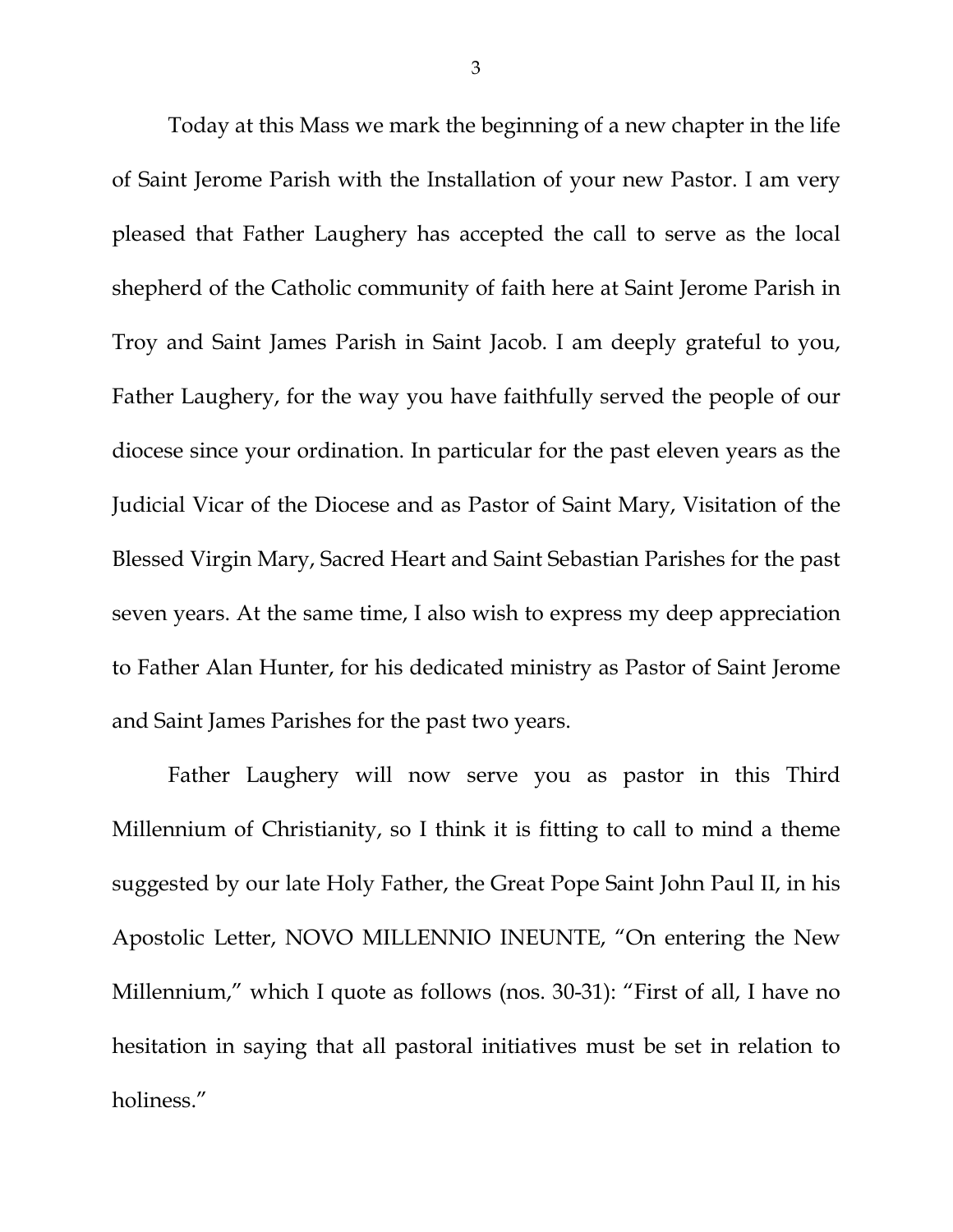Today at this Mass we mark the beginning of a new chapter in the life of Saint Jerome Parish with the Installation of your new Pastor. I am very pleased that Father Laughery has accepted the call to serve as the local shepherd of the Catholic community of faith here at Saint Jerome Parish in Troy and Saint James Parish in Saint Jacob. I am deeply grateful to you, Father Laughery, for the way you have faithfully served the people of our diocese since your ordination. In particular for the past eleven years as the Judicial Vicar of the Diocese and as Pastor of Saint Mary, Visitation of the Blessed Virgin Mary, Sacred Heart and Saint Sebastian Parishes for the past seven years. At the same time, I also wish to express my deep appreciation to Father Alan Hunter, for his dedicated ministry as Pastor of Saint Jerome and Saint James Parishes for the past two years.

Father Laughery will now serve you as pastor in this Third Millennium of Christianity, so I think it is fitting to call to mind a theme suggested by our late Holy Father, the Great Pope Saint John Paul II, in his Apostolic Letter, NOVO MILLENNIO INEUNTE, "On entering the New Millennium," which I quote as follows (nos. 30-31): "First of all, I have no hesitation in saying that all pastoral initiatives must be set in relation to holiness."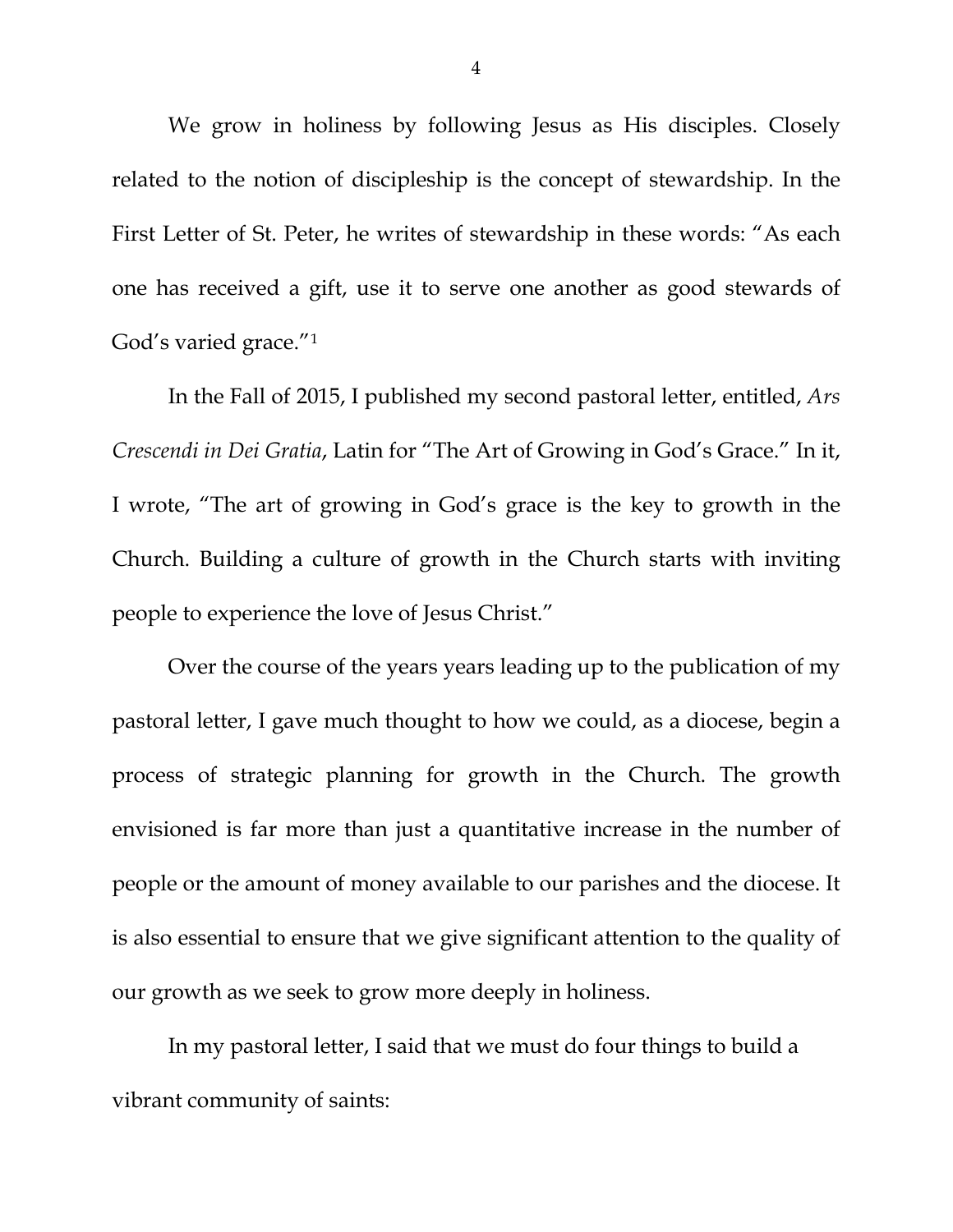We grow in holiness by following Jesus as His disciples. Closely related to the notion of discipleship is the concept of stewardship. In the First Letter of St. Peter, he writes of stewardship in these words: "As each one has received a gift, use it to serve one another as good stewards of God's varied grace."[1](#page-6-0)

In the Fall of 2015, I published my second pastoral letter, entitled, *Ars Crescendi in Dei Gratia*, Latin for "The Art of Growing in God's Grace." In it, I wrote, "The art of growing in God's grace is the key to growth in the Church. Building a culture of growth in the Church starts with inviting people to experience the love of Jesus Christ."

Over the course of the years years leading up to the publication of my pastoral letter, I gave much thought to how we could, as a diocese, begin a process of strategic planning for growth in the Church. The growth envisioned is far more than just a quantitative increase in the number of people or the amount of money available to our parishes and the diocese. It is also essential to ensure that we give significant attention to the quality of our growth as we seek to grow more deeply in holiness.

In my pastoral letter, I said that we must do four things to build a vibrant community of saints: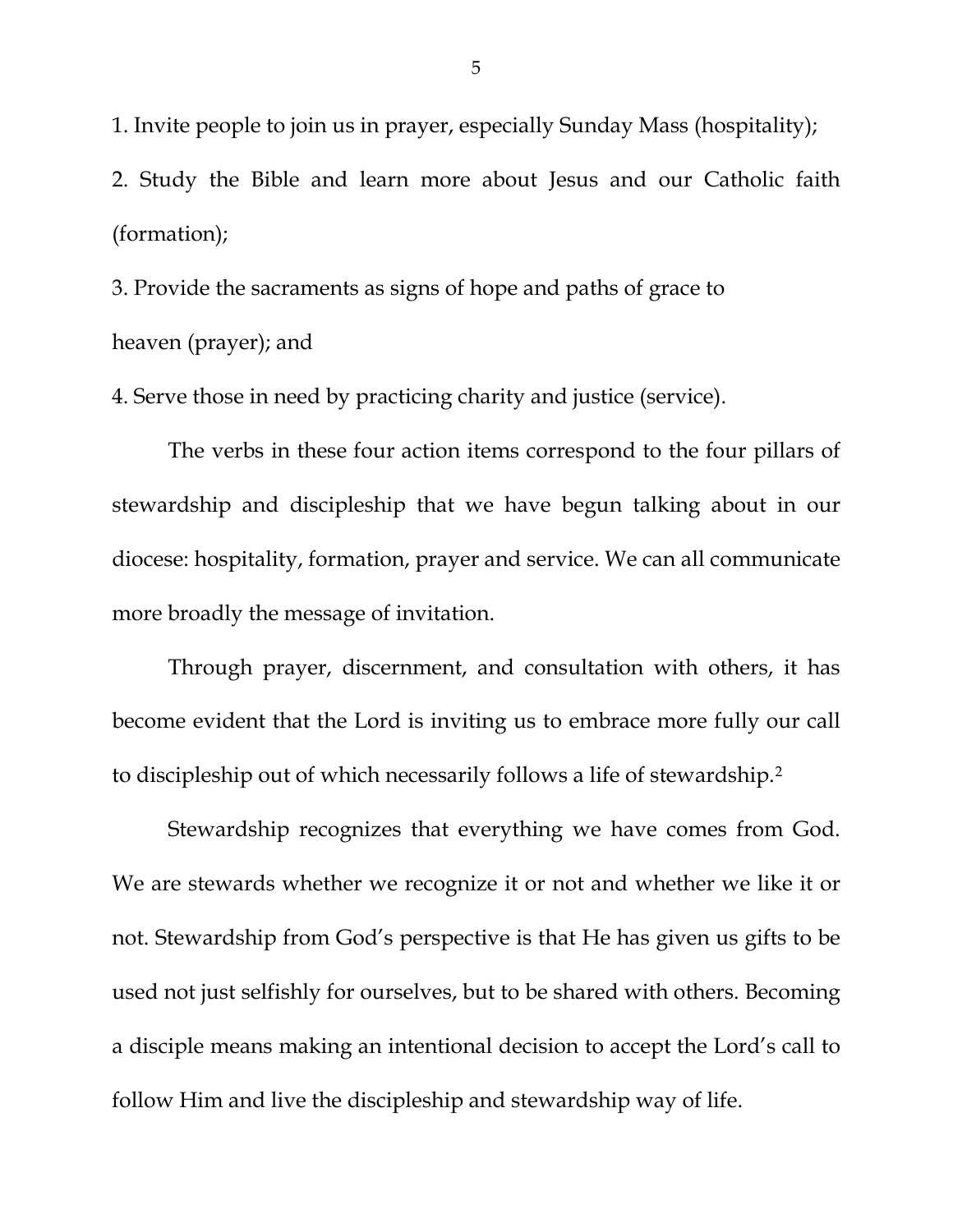1. Invite people to join us in prayer, especially Sunday Mass (hospitality); 2. Study the Bible and learn more about Jesus and our Catholic faith (formation);

3. Provide the sacraments as signs of hope and paths of grace to heaven (prayer); and

4. Serve those in need by practicing charity and justice (service).

The verbs in these four action items correspond to the four pillars of stewardship and discipleship that we have begun talking about in our diocese: hospitality, formation, prayer and service. We can all communicate more broadly the message of invitation.

Through prayer, discernment, and consultation with others, it has become evident that the Lord is inviting us to embrace more fully our call to discipleship out of which necessarily follows a life of stewardship.[2](#page-6-1)

Stewardship recognizes that everything we have comes from God. We are stewards whether we recognize it or not and whether we like it or not. Stewardship from God's perspective is that He has given us gifts to be used not just selfishly for ourselves, but to be shared with others. Becoming a disciple means making an intentional decision to accept the Lord's call to follow Him and live the discipleship and stewardship way of life.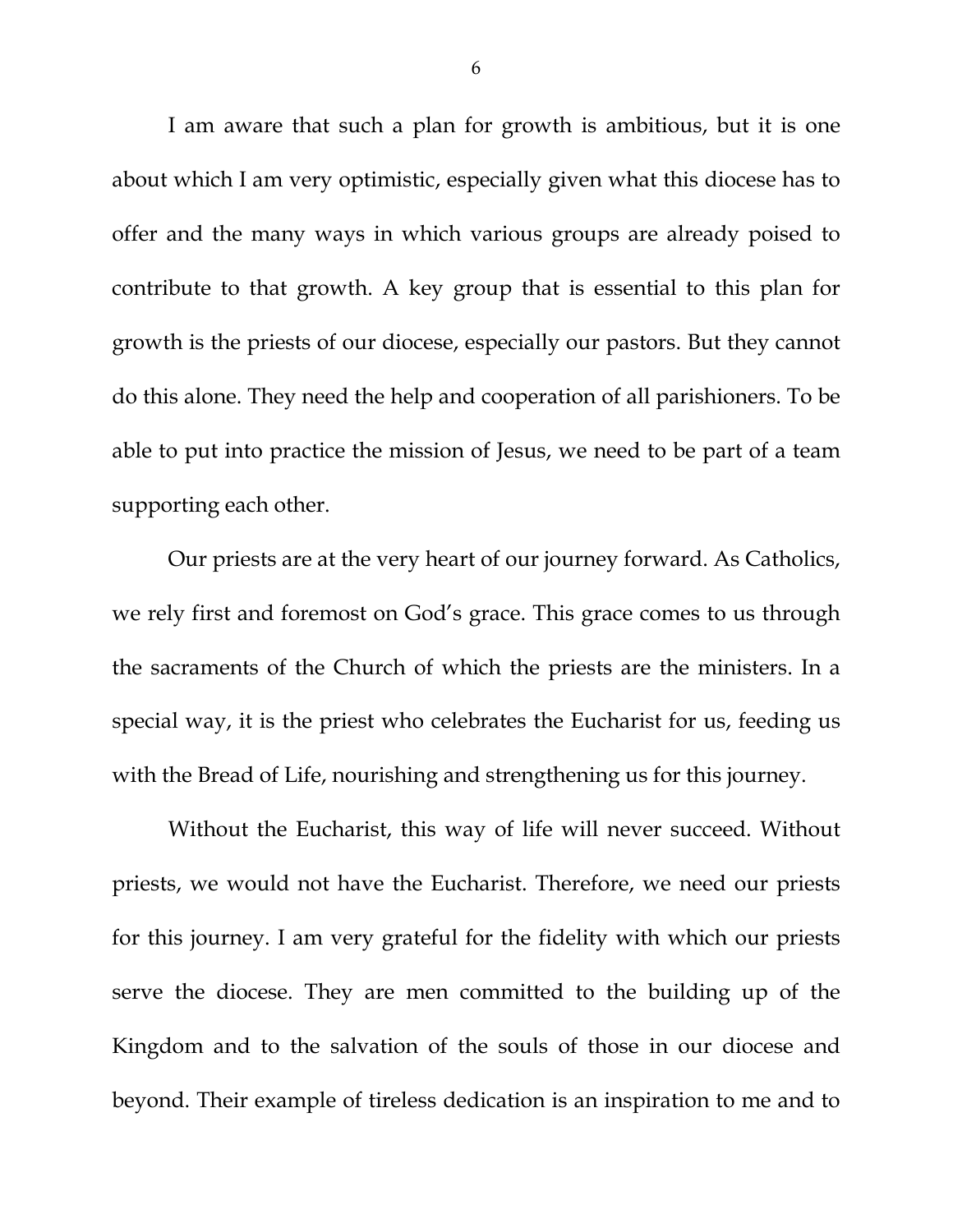I am aware that such a plan for growth is ambitious, but it is one about which I am very optimistic, especially given what this diocese has to offer and the many ways in which various groups are already poised to contribute to that growth. A key group that is essential to this plan for growth is the priests of our diocese, especially our pastors. But they cannot do this alone. They need the help and cooperation of all parishioners. To be able to put into practice the mission of Jesus, we need to be part of a team supporting each other.

Our priests are at the very heart of our journey forward. As Catholics, we rely first and foremost on God's grace. This grace comes to us through the sacraments of the Church of which the priests are the ministers. In a special way, it is the priest who celebrates the Eucharist for us, feeding us with the Bread of Life, nourishing and strengthening us for this journey.

Without the Eucharist, this way of life will never succeed. Without priests, we would not have the Eucharist. Therefore, we need our priests for this journey. I am very grateful for the fidelity with which our priests serve the diocese. They are men committed to the building up of the Kingdom and to the salvation of the souls of those in our diocese and beyond. Their example of tireless dedication is an inspiration to me and to

6